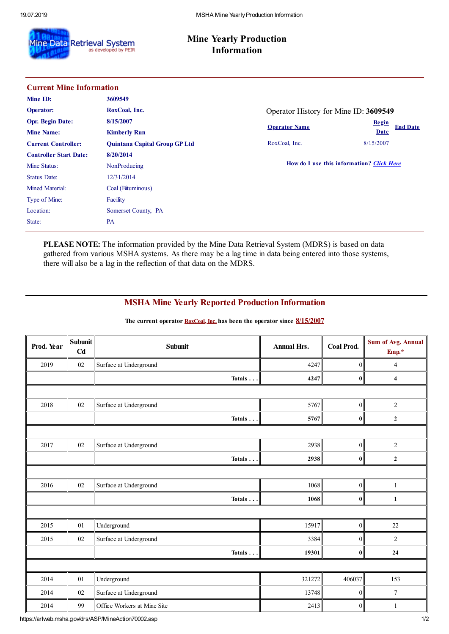

## **Mine Yearly Production Information**

| <b>Current Mine Information</b> |                                      |                                           |                                 |  |  |  |
|---------------------------------|--------------------------------------|-------------------------------------------|---------------------------------|--|--|--|
| Mine ID:                        | 3609549                              |                                           |                                 |  |  |  |
| <b>Operator:</b>                | RoxCoal, Inc.                        | Operator History for Mine ID: 3609549     |                                 |  |  |  |
| <b>Opr. Begin Date:</b>         | 8/15/2007                            | <b>Operator Name</b>                      | <b>Begin</b><br><b>End Date</b> |  |  |  |
| <b>Mine Name:</b>               | <b>Kimberly Run</b>                  |                                           | <b>Date</b>                     |  |  |  |
| <b>Current Controller:</b>      | <b>Quintana Capital Group GP Ltd</b> | RoxCoal, Inc.                             | 8/15/2007                       |  |  |  |
| <b>Controller Start Date:</b>   | 8/20/2014                            |                                           |                                 |  |  |  |
| Mine Status:                    | NonProducing                         | How do I use this information? Click Here |                                 |  |  |  |
| <b>Status Date:</b>             | 12/31/2014                           |                                           |                                 |  |  |  |
| <b>Mined Material:</b>          | Coal (Bituminous)                    |                                           |                                 |  |  |  |
| Type of Mine:                   | Facility                             |                                           |                                 |  |  |  |
| Location:                       | Somerset County, PA                  |                                           |                                 |  |  |  |
| State:                          | <b>PA</b>                            |                                           |                                 |  |  |  |

**PLEASE NOTE:** The information provided by the Mine Data Retrieval System (MDRS) is based on data gathered from various MSHA systems. As there may be a lag time in data being entered into those systems, there will also be a lag in the reflection of that data on the MDRS.

## **MSHA Mine Yearly Reported Production Information**

| Prod. Year | <b>Subunit</b><br>Cd | <b>Subunit</b>              | <b>Annual Hrs.</b> | <b>Coal Prod.</b> | <b>Sum of Avg. Annual</b><br>Emp.* |  |
|------------|----------------------|-----------------------------|--------------------|-------------------|------------------------------------|--|
| 2019       | 02                   | Surface at Underground      | 4247               | $\vert 0 \vert$   | $\overline{4}$                     |  |
|            |                      | Totals                      | 4247               | 0                 | $\overline{\mathbf{4}}$            |  |
|            |                      |                             |                    |                   |                                    |  |
| 2018       | 02                   | Surface at Underground      | 5767               | 0                 | $\overline{2}$                     |  |
|            |                      | Totals                      | 5767               | 0                 | $\mathbf 2$                        |  |
|            |                      |                             |                    |                   |                                    |  |
| 2017       | 02                   | Surface at Underground      | 2938               | 0                 | $\overline{2}$                     |  |
|            |                      | Totals $\ldots$             | 2938               | 0                 | $\boldsymbol{2}$                   |  |
|            |                      |                             |                    |                   |                                    |  |
| 2016       | $02\,$               | Surface at Underground      | 1068               | 0                 | $\mathbf{1}$                       |  |
|            |                      | Totals                      | 1068               | 0                 | $\mathbf{1}$                       |  |
|            |                      |                             |                    |                   |                                    |  |
| 2015       | 01                   | Underground                 | 15917              | 0                 | 22                                 |  |
| 2015       | $02\,$               | Surface at Underground      | 3384               | $\overline{0}$    | $\overline{2}$                     |  |
|            |                      | Totals                      | 19301              | 0                 | 24                                 |  |
|            |                      |                             |                    |                   |                                    |  |
| 2014       | 01                   | Underground                 | 321272             | 406037            | 153                                |  |
| 2014       | $02\,$               | Surface at Underground      | 13748              | 0                 | $\tau$                             |  |
| 2014       | 99                   | Office Workers at Mine Site | 2413               | $\overline{0}$    | $\mathbf{1}$                       |  |

**The current operator RoxCoal, Inc. has been the operator since 8/15/2007**

https://arlweb.msha.gov/drs/ASP/MineAction70002.asp 1/2